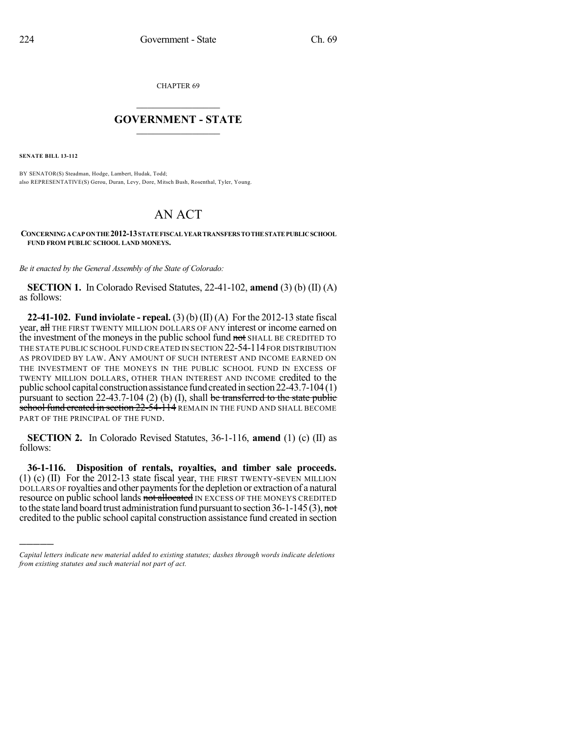CHAPTER 69

## $\mathcal{L}_\text{max}$  . The set of the set of the set of the set of the set of the set of the set of the set of the set of the set of the set of the set of the set of the set of the set of the set of the set of the set of the set **GOVERNMENT - STATE**  $\_$   $\_$

**SENATE BILL 13-112**

)))))

BY SENATOR(S) Steadman, Hodge, Lambert, Hudak, Todd; also REPRESENTATIVE(S) Gerou, Duran, Levy, Dore, Mitsch Bush, Rosenthal, Tyler, Young.

## AN ACT

**CONCERNINGACAP ONTHE 2012-13STATEFISCAL YEARTRANSFERS TOTHESTATEPUBLICSCHOOL FUND FROM PUBLIC SCHOOL LAND MONEYS.**

*Be it enacted by the General Assembly of the State of Colorado:*

**SECTION 1.** In Colorado Revised Statutes, 22-41-102, **amend** (3) (b) (II) (A) as follows:

**22-41-102. Fund inviolate - repeal.** (3) (b) (II) (A) For the 2012-13 state fiscal year, all THE FIRST TWENTY MILLION DOLLARS OF ANY interest or income earned on the investment of the moneys in the public school fund not SHALL BE CREDITED TO THE STATE PUBLIC SCHOOL FUND CREATED IN SECTION 22-54-114 FOR DISTRIBUTION AS PROVIDED BY LAW. ANY AMOUNT OF SUCH INTEREST AND INCOME EARNED ON THE INVESTMENT OF THE MONEYS IN THE PUBLIC SCHOOL FUND IN EXCESS OF TWENTY MILLION DOLLARS, OTHER THAN INTEREST AND INCOME credited to the public school capital construction assistance fund created in section  $22-43.7-104(1)$ pursuant to section 22-43.7-104 (2) (b) (I), shall be transferred to the state public school fund created in section  $22-54-114$  REMAIN IN THE FUND AND SHALL BECOME PART OF THE PRINCIPAL OF THE FUND.

**SECTION 2.** In Colorado Revised Statutes, 36-1-116, **amend** (1) (c) (II) as follows:

**36-1-116. Disposition of rentals, royalties, and timber sale proceeds.** (1) (c) (II) For the 2012-13 state fiscal year, THE FIRST TWENTY-SEVEN MILLION DOLLARS OF royalties and other payments for the depletion or extraction of a natural resource on public school lands not allocated IN EXCESS OF THE MONEYS CREDITED to the state land board trust administration fund pursuant to section  $36-1-145(3)$ , not credited to the public school capital construction assistance fund created in section

*Capital letters indicate new material added to existing statutes; dashes through words indicate deletions from existing statutes and such material not part of act.*